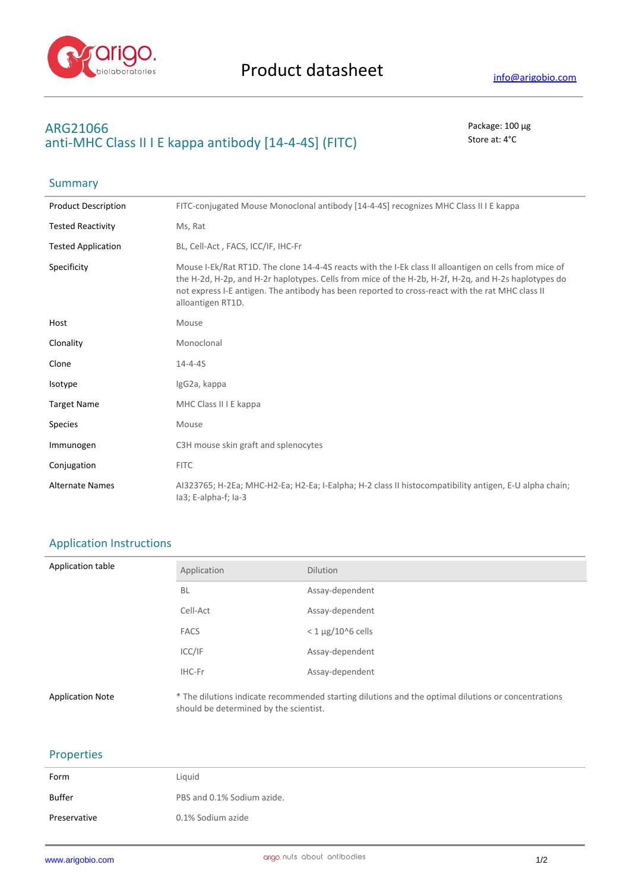

# **ARG21066** Package: 100 μg anti-MHC Class II I E kappa antibody [14-4-4S] (FITC) Store at: 4°C

| Summary                    |                                                                                                                                                                                                                                                                                                                                         |
|----------------------------|-----------------------------------------------------------------------------------------------------------------------------------------------------------------------------------------------------------------------------------------------------------------------------------------------------------------------------------------|
| <b>Product Description</b> | FITC-conjugated Mouse Monoclonal antibody [14-4-4S] recognizes MHC Class II I E kappa                                                                                                                                                                                                                                                   |
| <b>Tested Reactivity</b>   | Ms, Rat                                                                                                                                                                                                                                                                                                                                 |
| <b>Tested Application</b>  | BL, Cell-Act, FACS, ICC/IF, IHC-Fr                                                                                                                                                                                                                                                                                                      |
| Specificity                | Mouse I-Ek/Rat RT1D. The clone 14-4-4S reacts with the I-Ek class II alloantigen on cells from mice of<br>the H-2d, H-2p, and H-2r haplotypes. Cells from mice of the H-2b, H-2f, H-2q, and H-2s haplotypes do<br>not express I-E antigen. The antibody has been reported to cross-react with the rat MHC class II<br>alloantigen RT1D. |
| Host                       | Mouse                                                                                                                                                                                                                                                                                                                                   |
| Clonality                  | Monoclonal                                                                                                                                                                                                                                                                                                                              |
| Clone                      | $14 - 4 - 45$                                                                                                                                                                                                                                                                                                                           |
| Isotype                    | IgG2a, kappa                                                                                                                                                                                                                                                                                                                            |
| <b>Target Name</b>         | MHC Class II I E kappa                                                                                                                                                                                                                                                                                                                  |
| <b>Species</b>             | Mouse                                                                                                                                                                                                                                                                                                                                   |
| Immunogen                  | C3H mouse skin graft and splenocytes                                                                                                                                                                                                                                                                                                    |
| Conjugation                | <b>FITC</b>                                                                                                                                                                                                                                                                                                                             |
| <b>Alternate Names</b>     | AI323765; H-2Ea; MHC-H2-Ea; H2-Ea; I-Ealpha; H-2 class II histocompatibility antigen, E-U alpha chain;<br>la3; E-alpha-f; la-3                                                                                                                                                                                                          |

## Application Instructions

| Application table       | Application                            | <b>Dilution</b>                                                                                     |
|-------------------------|----------------------------------------|-----------------------------------------------------------------------------------------------------|
|                         | <b>BL</b>                              | Assay-dependent                                                                                     |
|                         | Cell-Act                               | Assay-dependent                                                                                     |
|                         | <b>FACS</b>                            | $<$ 1 µg/10^6 cells                                                                                 |
|                         | ICC/IF                                 | Assay-dependent                                                                                     |
|                         | IHC-Fr                                 | Assay-dependent                                                                                     |
| <b>Application Note</b> | should be determined by the scientist. | * The dilutions indicate recommended starting dilutions and the optimal dilutions or concentrations |

### Properties

| Form         | Liquid                     |
|--------------|----------------------------|
| Buffer       | PBS and 0.1% Sodium azide. |
| Preservative | 0.1% Sodium azide          |